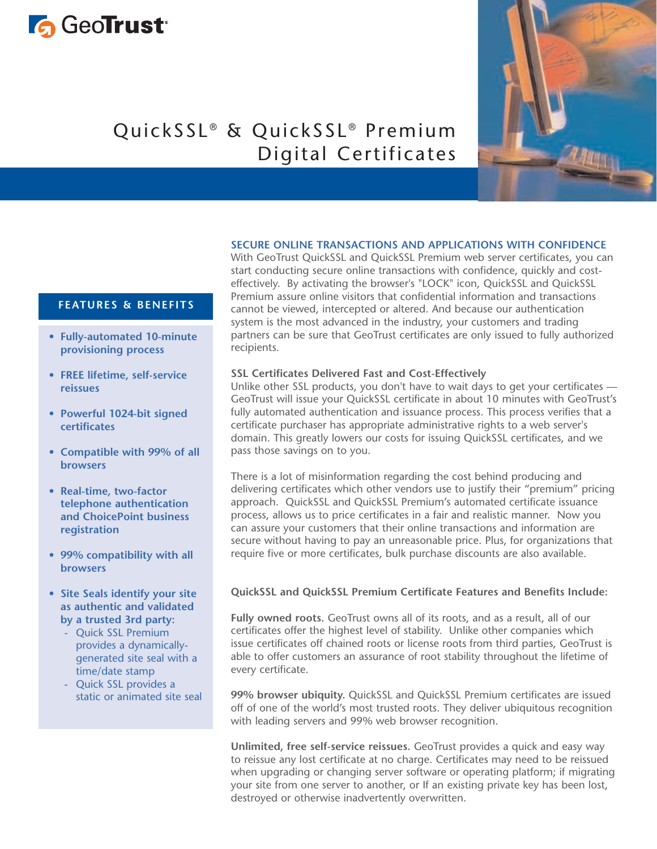# **G** GeoTrust<sup>®</sup>

## QuickSSL® & QuickSSL® Premium Digital Certificates

#### **SECURE ONLINE TRANSACTIONS AND APPLICATIONS WITH CONFIDENCE**

With GeoTrust QuickSSL and QuickSSL Premium web server certificates, you can start conducting secure online transactions with confidence, quickly and costeffectively. By activating the browser's "LOCK" icon, QuickSSL and QuickSSL Premium assure online visitors that confidential information and transactions cannot be viewed, intercepted or altered. And because our authentication system is the most advanced in the industry, your customers and trading partners can be sure that GeoTrust certificates are only issued to fully authorized recipients.

#### **SSL Certificates Delivered Fast and Cost-Effectively**

Unlike other SSL products, you don't have to wait days to get your certificates — GeoTrust will issue your QuickSSL certificate in about 10 minutes with GeoTrust's fully automated authentication and issuance process. This process verifies that a certificate purchaser has appropriate administrative rights to a web server's domain. This greatly lowers our costs for issuing QuickSSL certificates, and we pass those savings on to you.

There is a lot of misinformation regarding the cost behind producing and delivering certificates which other vendors use to justify their "premium" pricing approach. QuickSSL and QuickSSL Premium's automated certificate issuance process, allows us to price certificates in a fair and realistic manner. Now you can assure your customers that their online transactions and information are secure without having to pay an unreasonable price. Plus, for organizations that require five or more certificates, bulk purchase discounts are also available.

#### **QuickSSL and QuickSSL Premium Certificate Features and Benefits Include:**

Fully owned roots. GeoTrust owns all of its roots, and as a result, all of our certificates offer the highest level of stability. Unlike other companies which issue certificates off chained roots or license roots from third parties, GeoTrust is able to offer customers an assurance of root stability throughout the lifetime of every certificate.

**99% browser ubiquity.** QuickSSL and QuickSSL Premium certificates are issued off of one of the world's most trusted roots. They deliver ubiquitous recognition with leading servers and 99% web browser recognition.

**Unlimited, free self-service reissues.** GeoTrust provides a quick and easy way to reissue any lost certificate at no charge. Certificates may need to be reissued when upgrading or changing server software or operating platform; if migrating your site from one server to another, or If an existing private key has been lost, destroyed or otherwise inadvertently overwritten.

### **FEATURES & BENEFITS**

- **Fully-automated 10-minute provisioning process**
- **FREE lifetime, self-service reissues**
- **Powerful 1024-bit signed certificates**
- **Compatible with 99% of all browsers**
- **Real-time, two-factor telephone authentication and ChoicePoint business registration**
- **99% compatibility with all browsers**
- **Site Seals identify your site as authentic and validated by a trusted 3rd party:**
	- Quick SSL Premium provides a dynamicallygenerated site seal with a time/date stamp
	- Quick SSL provides a static or animated site seal